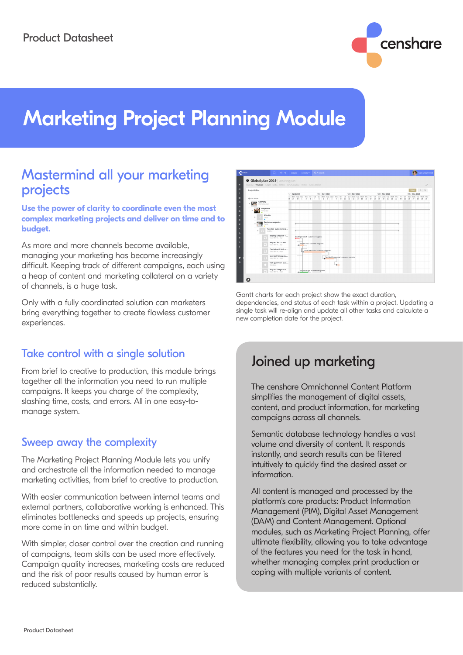

# Marketing Project Planning Module

## Mastermind all your marketing projects

**Use the power of clarity to coordinate even the most complex marketing projects and deliver on time and to budget.**

As more and more channels become available, managing your marketing has become increasingly difficult. Keeping track of different campaigns, each using a heap of content and marketing collateral on a variety of channels, is a huge task.

Only with a fully coordinated solution can marketers bring everything together to create flawless customer experiences.

### Take control with a single solution

From brief to creative to production, this module brings together all the information you need to run multiple campaigns. It keeps you charge of the complexity, slashing time, costs, and errors. All in one easy-tomanage system.

#### Sweep away the complexity

The Marketing Project Planning Module lets you unify and orchestrate all the information needed to manage marketing activities, from brief to creative to production.

With easier communication between internal teams and external partners, collaborative working is enhanced. This eliminates bottlenecks and speeds up projects, ensuring more come in on time and within budget.

With simpler, closer control over the creation and running of campaigns, team skills can be used more effectively. Campaign quality increases, marketing costs are reduced and the risk of poor results caused by human error is reduced substantially.



Gantt charts for each project show the exact duration, dependencies, and status of each task within a project. Updating a single task will re-align and update all other tasks and calculate a new completion date for the project.

# Joined up marketing

The censhare Omnichannel Content Platform simplifies the management of digital assets, content, and product information, for marketing campaigns across all channels.

Semantic database technology handles a vast volume and diversity of content. It responds instantly, and search results can be filtered intuitively to quickly find the desired asset or information.

All content is managed and processed by the platform's core products: Product Information Management (PIM), Digital Asset Management (DAM) and Content Management. Optional modules, such as Marketing Project Planning, offer ultimate flexibility, allowing you to take advantage of the features you need for the task in hand, whether managing complex print production or coping with multiple variants of content.